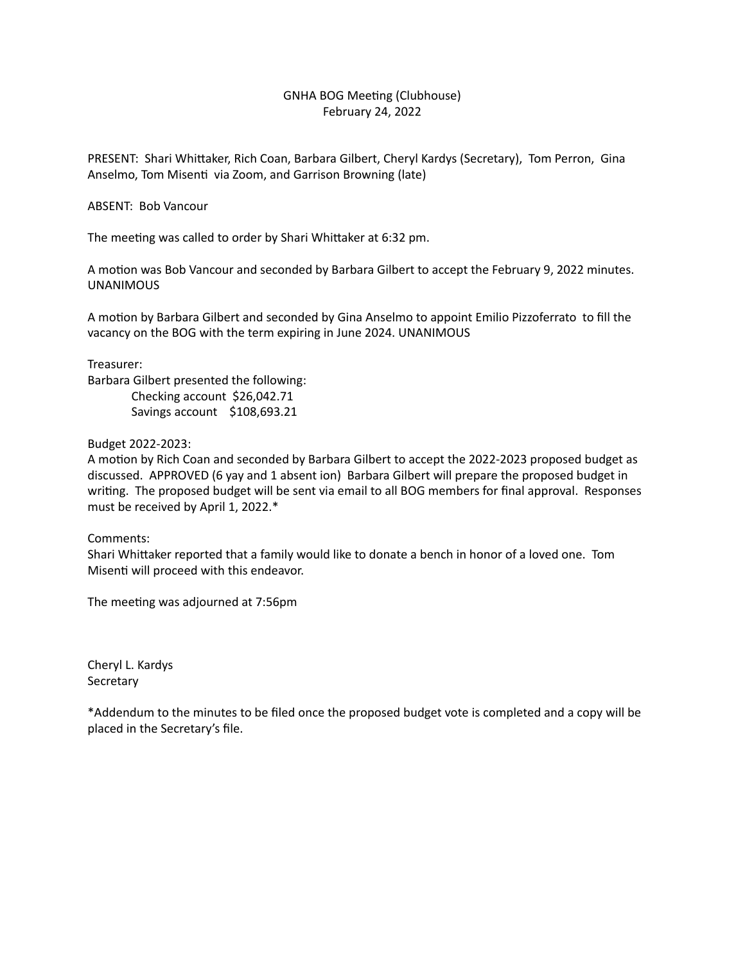## GNHA BOG Meeting (Clubhouse) February 24, 2022

PRESENT: Shari Whittaker, Rich Coan, Barbara Gilbert, Cheryl Kardys (Secretary), Tom Perron, Gina Anselmo, Tom Misenti via Zoom, and Garrison Browning (late)

## ABSENT: Bob Vancour

The meeting was called to order by Shari Whittaker at 6:32 pm.

A motion was Bob Vancour and seconded by Barbara Gilbert to accept the February 9, 2022 minutes. UNANIMOUS 

A motion by Barbara Gilbert and seconded by Gina Anselmo to appoint Emilio Pizzoferrato to fill the vacancy on the BOG with the term expiring in June 2024. UNANIMOUS

Treasurer:

Barbara Gilbert presented the following: Checking account \$26,042.71 Savings account \$108,693.21

Budget 2022-2023:

A motion by Rich Coan and seconded by Barbara Gilbert to accept the 2022-2023 proposed budget as discussed. APPROVED (6 yay and 1 absent ion) Barbara Gilbert will prepare the proposed budget in writing. The proposed budget will be sent via email to all BOG members for final approval. Responses must be received by April 1, 2022.\*

Comments:

Shari Whittaker reported that a family would like to donate a bench in honor of a loved one. Tom Misenti will proceed with this endeavor.

The meeting was adjourned at 7:56pm

Cheryl L. Kardys **Secretary** 

\*Addendum to the minutes to be filed once the proposed budget vote is completed and a copy will be placed in the Secretary's file.